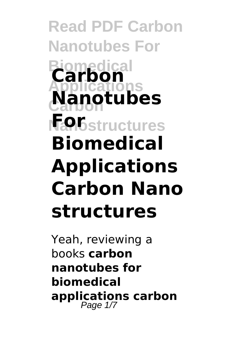**Read PDF Carbon Nanotubes For Biomedical Applications Carbon Nanotubes Fan**Gstructures **Carbon Biomedical Applications Carbon Nano structures**

Yeah, reviewing a books **carbon nanotubes for biomedical applications carbon** Page 1/7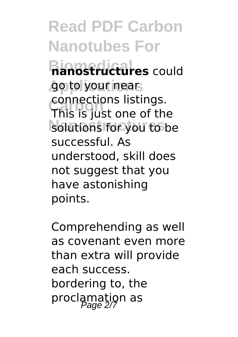**Read PDF Carbon Nanotubes For Biomedical nanostructures** could go to your nears **Carbon** This is just one of the solutions for you to be connections listings. successful. As understood, skill does not suggest that you have astonishing points.

Comprehending as well as covenant even more than extra will provide each success. bordering to, the proclamation as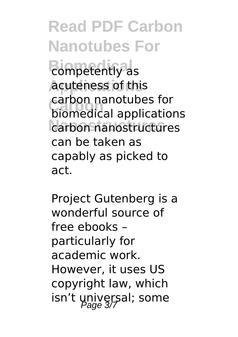**Read PDF Carbon Nanotubes For Biomedical** competently as **Applications** acuteness of this **Carbon** biomedical applications **Nanostructures** carbon nanostructures carbon nanotubes for can be taken as capably as picked to act.

Project Gutenberg is a wonderful source of free ebooks – particularly for academic work. However, it uses US copyright law, which isn't universal; some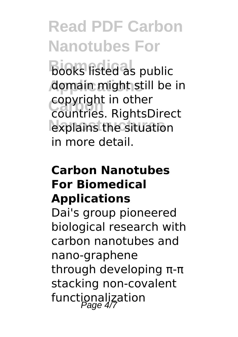**Read PDF Carbon Nanotubes For Biooks listed as public Applications** domain might still be in **Carbon** countries. RightsDirect explains the situation copyright in other in more detail.

## **Carbon Nanotubes For Biomedical Applications**

Dai's group pioneered biological research with carbon nanotubes and nano-graphene through developing π-π stacking non-covalent functionalization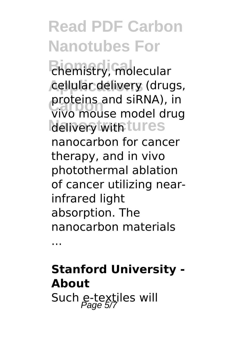**Read PDF Carbon Nanotubes For Biomedical** chemistry, molecular **Applications** cellular delivery (drugs, proteins and si<del>k</del>iva), in<br>vivo mouse model drug **delivery with tures** proteins and siRNA), in nanocarbon for cancer therapy, and in vivo photothermal ablation of cancer utilizing nearinfrared light absorption. The nanocarbon materials

...

**Stanford University - About** Such e-textiles will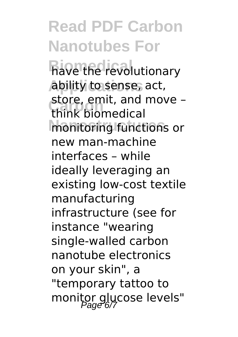**Read PDF Carbon Nanotubes For Biove the revolutionary Applications** ability to sense, act, store, emit, and move –<br>think hiomedical monitoring functions or think biomedical new man-machine interfaces – while ideally leveraging an existing low-cost textile manufacturing infrastructure (see for instance "wearing single-walled carbon nanotube electronics on your skin", a "temporary tattoo to monitor glucose levels"